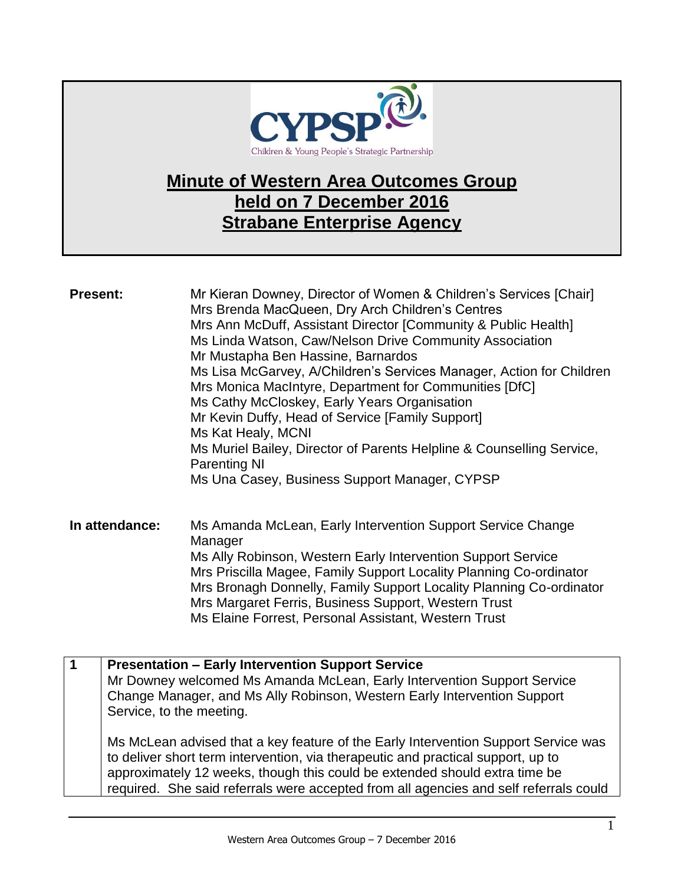

## **Minute of Western Area Outcomes Group held on 7 December 2016 Strabane Enterprise Agency**

| <b>Present:</b> | Mr Kieran Downey, Director of Women & Children's Services [Chair]<br>Mrs Brenda MacQueen, Dry Arch Children's Centres<br>Mrs Ann McDuff, Assistant Director [Community & Public Health]<br>Ms Linda Watson, Caw/Nelson Drive Community Association<br>Mr Mustapha Ben Hassine, Barnardos<br>Ms Lisa McGarvey, A/Children's Services Manager, Action for Children<br>Mrs Monica MacIntyre, Department for Communities [DfC]<br>Ms Cathy McCloskey, Early Years Organisation<br>Mr Kevin Duffy, Head of Service [Family Support]<br>Ms Kat Healy, MCNI<br>Ms Muriel Bailey, Director of Parents Helpline & Counselling Service,<br><b>Parenting NI</b><br>Ms Una Casey, Business Support Manager, CYPSP |
|-----------------|-------------------------------------------------------------------------------------------------------------------------------------------------------------------------------------------------------------------------------------------------------------------------------------------------------------------------------------------------------------------------------------------------------------------------------------------------------------------------------------------------------------------------------------------------------------------------------------------------------------------------------------------------------------------------------------------------------|
| In attendance:  | Ms Amanda McLean, Early Intervention Support Service Change<br>Manager<br>Ms Ally Robinson, Western Early Intervention Support Service<br>Mrs Priscilla Magee, Family Support Locality Planning Co-ordinator<br>Mrs Bronagh Donnelly, Family Support Locality Planning Co-ordinator<br>Mrs Margaret Ferris, Business Support, Western Trust<br>Ms Elaine Forrest, Personal Assistant, Western Trust                                                                                                                                                                                                                                                                                                   |
| $\mathbf 1$     | <b>Presentation - Early Intervention Support Service</b><br>Mr Downey welcomed Ms Amanda McLean, Early Intervention Support Service<br>Change Manager, and Ms Ally Robinson, Western Early Intervention Support                                                                                                                                                                                                                                                                                                                                                                                                                                                                                       |
|                 | Service, to the meeting.                                                                                                                                                                                                                                                                                                                                                                                                                                                                                                                                                                                                                                                                              |
|                 | Ms McLean advised that a key feature of the Early Intervention Support Service was<br>to deliver short term intervention, via therapeutic and practical support, up to                                                                                                                                                                                                                                                                                                                                                                                                                                                                                                                                |
|                 | approximately 12 weeks, though this could be extended should extra time be<br>required. She said referrals were accepted from all agencies and self referrals could                                                                                                                                                                                                                                                                                                                                                                                                                                                                                                                                   |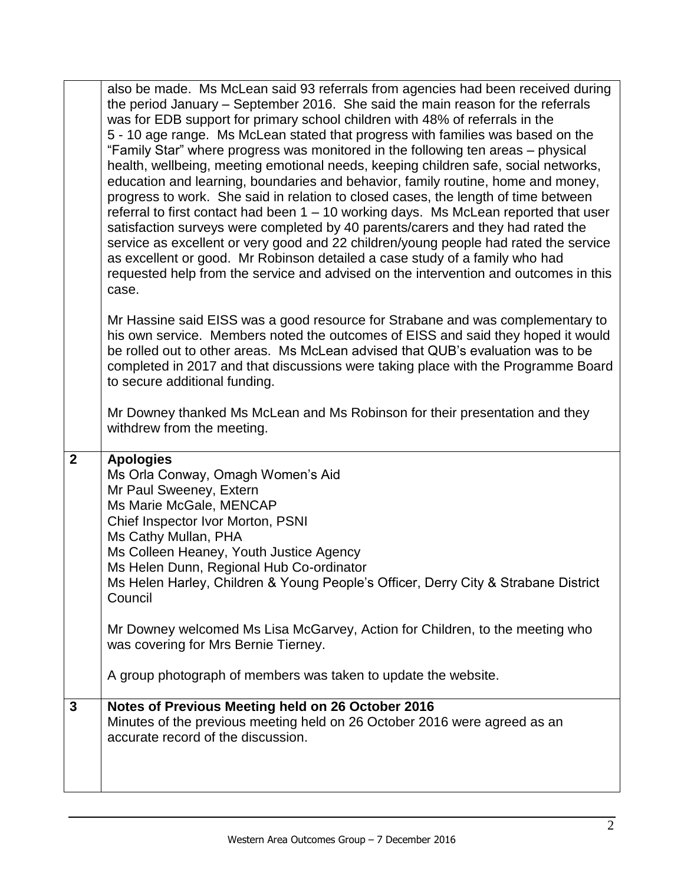|                         | also be made. Ms McLean said 93 referrals from agencies had been received during<br>the period January – September 2016. She said the main reason for the referrals<br>was for EDB support for primary school children with 48% of referrals in the<br>5 - 10 age range. Ms McLean stated that progress with families was based on the<br>"Family Star" where progress was monitored in the following ten areas - physical<br>health, wellbeing, meeting emotional needs, keeping children safe, social networks,<br>education and learning, boundaries and behavior, family routine, home and money,<br>progress to work. She said in relation to closed cases, the length of time between<br>referral to first contact had been 1 – 10 working days. Ms McLean reported that user<br>satisfaction surveys were completed by 40 parents/carers and they had rated the<br>service as excellent or very good and 22 children/young people had rated the service<br>as excellent or good. Mr Robinson detailed a case study of a family who had<br>requested help from the service and advised on the intervention and outcomes in this<br>case. |
|-------------------------|------------------------------------------------------------------------------------------------------------------------------------------------------------------------------------------------------------------------------------------------------------------------------------------------------------------------------------------------------------------------------------------------------------------------------------------------------------------------------------------------------------------------------------------------------------------------------------------------------------------------------------------------------------------------------------------------------------------------------------------------------------------------------------------------------------------------------------------------------------------------------------------------------------------------------------------------------------------------------------------------------------------------------------------------------------------------------------------------------------------------------------------------|
|                         | Mr Hassine said EISS was a good resource for Strabane and was complementary to<br>his own service. Members noted the outcomes of EISS and said they hoped it would<br>be rolled out to other areas. Ms McLean advised that QUB's evaluation was to be<br>completed in 2017 and that discussions were taking place with the Programme Board<br>to secure additional funding.                                                                                                                                                                                                                                                                                                                                                                                                                                                                                                                                                                                                                                                                                                                                                                    |
|                         | Mr Downey thanked Ms McLean and Ms Robinson for their presentation and they<br>withdrew from the meeting.                                                                                                                                                                                                                                                                                                                                                                                                                                                                                                                                                                                                                                                                                                                                                                                                                                                                                                                                                                                                                                      |
| $\overline{2}$          | <b>Apologies</b><br>Ms Orla Conway, Omagh Women's Aid<br>Mr Paul Sweeney, Extern<br>Ms Marie McGale, MENCAP<br>Chief Inspector Ivor Morton, PSNI<br>Ms Cathy Mullan, PHA<br>Ms Colleen Heaney, Youth Justice Agency<br>Ms Helen Dunn, Regional Hub Co-ordinator<br>Ms Helen Harley, Children & Young People's Officer, Derry City & Strabane District<br>Council<br>Mr Downey welcomed Ms Lisa McGarvey, Action for Children, to the meeting who<br>was covering for Mrs Bernie Tierney.                                                                                                                                                                                                                                                                                                                                                                                                                                                                                                                                                                                                                                                       |
|                         | A group photograph of members was taken to update the website.                                                                                                                                                                                                                                                                                                                                                                                                                                                                                                                                                                                                                                                                                                                                                                                                                                                                                                                                                                                                                                                                                 |
| $\overline{\mathbf{3}}$ | Notes of Previous Meeting held on 26 October 2016<br>Minutes of the previous meeting held on 26 October 2016 were agreed as an<br>accurate record of the discussion.                                                                                                                                                                                                                                                                                                                                                                                                                                                                                                                                                                                                                                                                                                                                                                                                                                                                                                                                                                           |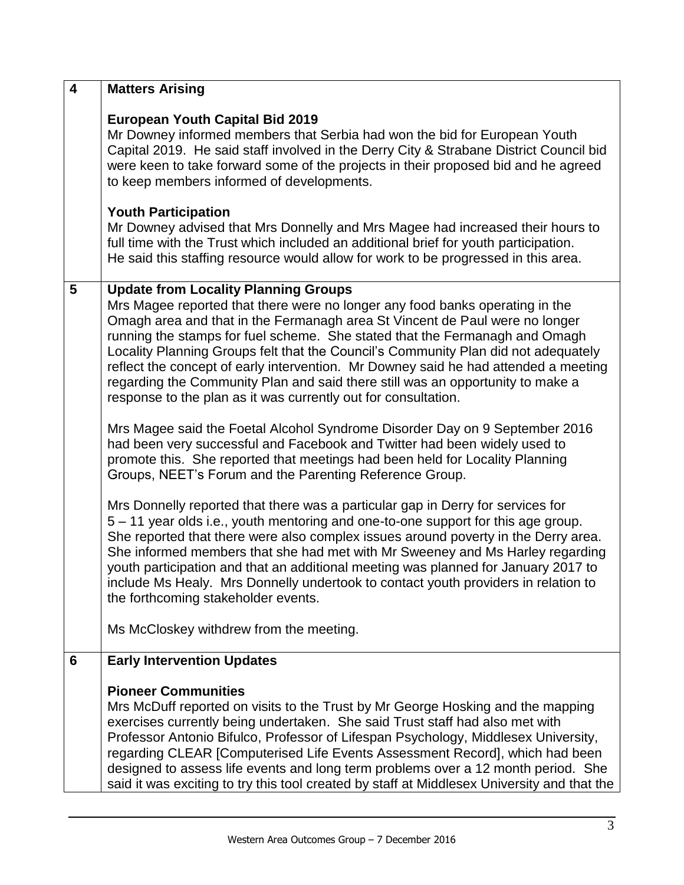| $\overline{\mathbf{4}}$ | <b>Matters Arising</b>                                                                                                                                                                                                                                                                                                                                                                                                                                                                                                                                                                                                     |
|-------------------------|----------------------------------------------------------------------------------------------------------------------------------------------------------------------------------------------------------------------------------------------------------------------------------------------------------------------------------------------------------------------------------------------------------------------------------------------------------------------------------------------------------------------------------------------------------------------------------------------------------------------------|
|                         | <b>European Youth Capital Bid 2019</b><br>Mr Downey informed members that Serbia had won the bid for European Youth<br>Capital 2019. He said staff involved in the Derry City & Strabane District Council bid<br>were keen to take forward some of the projects in their proposed bid and he agreed<br>to keep members informed of developments.                                                                                                                                                                                                                                                                           |
|                         | <b>Youth Participation</b><br>Mr Downey advised that Mrs Donnelly and Mrs Magee had increased their hours to<br>full time with the Trust which included an additional brief for youth participation.<br>He said this staffing resource would allow for work to be progressed in this area.                                                                                                                                                                                                                                                                                                                                 |
| 5                       | <b>Update from Locality Planning Groups</b><br>Mrs Magee reported that there were no longer any food banks operating in the<br>Omagh area and that in the Fermanagh area St Vincent de Paul were no longer<br>running the stamps for fuel scheme. She stated that the Fermanagh and Omagh<br>Locality Planning Groups felt that the Council's Community Plan did not adequately<br>reflect the concept of early intervention. Mr Downey said he had attended a meeting<br>regarding the Community Plan and said there still was an opportunity to make a<br>response to the plan as it was currently out for consultation. |
|                         | Mrs Magee said the Foetal Alcohol Syndrome Disorder Day on 9 September 2016<br>had been very successful and Facebook and Twitter had been widely used to<br>promote this. She reported that meetings had been held for Locality Planning<br>Groups, NEET's Forum and the Parenting Reference Group.                                                                                                                                                                                                                                                                                                                        |
|                         | Mrs Donnelly reported that there was a particular gap in Derry for services for<br>5 – 11 year olds i.e., youth mentoring and one-to-one support for this age group.<br>She reported that there were also complex issues around poverty in the Derry area.<br>She informed members that she had met with Mr Sweeney and Ms Harley regarding<br>youth participation and that an additional meeting was planned for January 2017 to<br>include Ms Healy. Mrs Donnelly undertook to contact youth providers in relation to<br>the forthcoming stakeholder events.                                                             |
|                         | Ms McCloskey withdrew from the meeting.                                                                                                                                                                                                                                                                                                                                                                                                                                                                                                                                                                                    |
| 6                       | <b>Early Intervention Updates</b>                                                                                                                                                                                                                                                                                                                                                                                                                                                                                                                                                                                          |
|                         | <b>Pioneer Communities</b><br>Mrs McDuff reported on visits to the Trust by Mr George Hosking and the mapping<br>exercises currently being undertaken. She said Trust staff had also met with<br>Professor Antonio Bifulco, Professor of Lifespan Psychology, Middlesex University,<br>regarding CLEAR [Computerised Life Events Assessment Record], which had been<br>designed to assess life events and long term problems over a 12 month period. She<br>said it was exciting to try this tool created by staff at Middlesex University and that the                                                                    |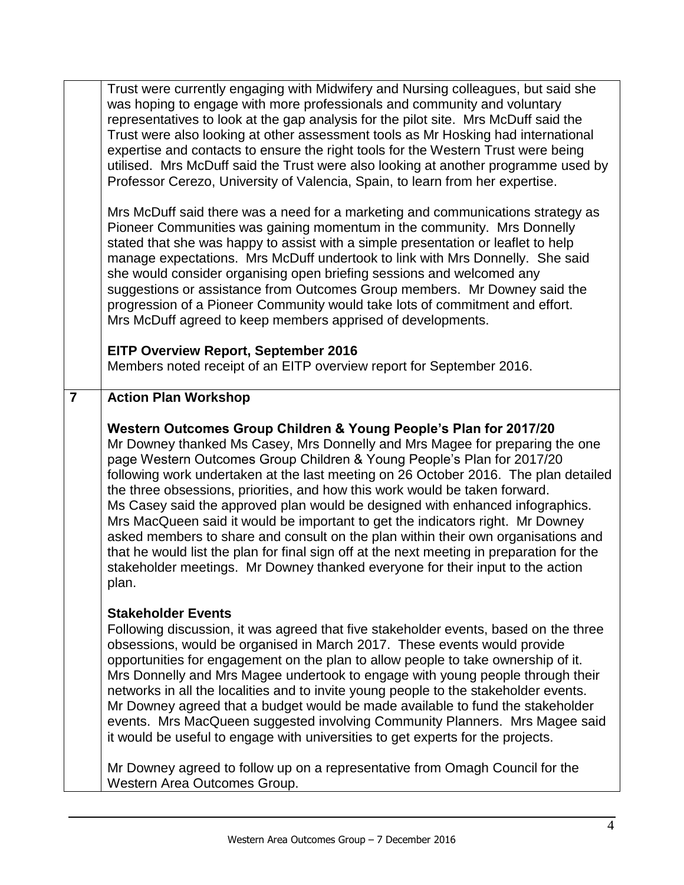|                | Trust were currently engaging with Midwifery and Nursing colleagues, but said she<br>was hoping to engage with more professionals and community and voluntary<br>representatives to look at the gap analysis for the pilot site. Mrs McDuff said the<br>Trust were also looking at other assessment tools as Mr Hosking had international<br>expertise and contacts to ensure the right tools for the Western Trust were being<br>utilised. Mrs McDuff said the Trust were also looking at another programme used by<br>Professor Cerezo, University of Valencia, Spain, to learn from her expertise.<br>Mrs McDuff said there was a need for a marketing and communications strategy as<br>Pioneer Communities was gaining momentum in the community. Mrs Donnelly<br>stated that she was happy to assist with a simple presentation or leaflet to help<br>manage expectations. Mrs McDuff undertook to link with Mrs Donnelly. She said<br>she would consider organising open briefing sessions and welcomed any<br>suggestions or assistance from Outcomes Group members. Mr Downey said the<br>progression of a Pioneer Community would take lots of commitment and effort.<br>Mrs McDuff agreed to keep members apprised of developments.<br><b>EITP Overview Report, September 2016</b><br>Members noted receipt of an EITP overview report for September 2016. |
|----------------|-----------------------------------------------------------------------------------------------------------------------------------------------------------------------------------------------------------------------------------------------------------------------------------------------------------------------------------------------------------------------------------------------------------------------------------------------------------------------------------------------------------------------------------------------------------------------------------------------------------------------------------------------------------------------------------------------------------------------------------------------------------------------------------------------------------------------------------------------------------------------------------------------------------------------------------------------------------------------------------------------------------------------------------------------------------------------------------------------------------------------------------------------------------------------------------------------------------------------------------------------------------------------------------------------------------------------------------------------------------------------|
| $\overline{7}$ | <b>Action Plan Workshop</b><br>Western Outcomes Group Children & Young People's Plan for 2017/20<br>Mr Downey thanked Ms Casey, Mrs Donnelly and Mrs Magee for preparing the one<br>page Western Outcomes Group Children & Young People's Plan for 2017/20<br>following work undertaken at the last meeting on 26 October 2016. The plan detailed<br>the three obsessions, priorities, and how this work would be taken forward.<br>Ms Casey said the approved plan would be designed with enhanced infographics.<br>Mrs MacQueen said it would be important to get the indicators right. Mr Downey<br>asked members to share and consult on the plan within their own organisations and<br>that he would list the plan for final sign off at the next meeting in preparation for the<br>stakeholder meetings. Mr Downey thanked everyone for their input to the action<br>plan.                                                                                                                                                                                                                                                                                                                                                                                                                                                                                      |
|                | <b>Stakeholder Events</b><br>Following discussion, it was agreed that five stakeholder events, based on the three<br>obsessions, would be organised in March 2017. These events would provide<br>opportunities for engagement on the plan to allow people to take ownership of it.<br>Mrs Donnelly and Mrs Magee undertook to engage with young people through their<br>networks in all the localities and to invite young people to the stakeholder events.<br>Mr Downey agreed that a budget would be made available to fund the stakeholder<br>events. Mrs MacQueen suggested involving Community Planners. Mrs Magee said<br>it would be useful to engage with universities to get experts for the projects.                                                                                                                                                                                                                                                                                                                                                                                                                                                                                                                                                                                                                                                      |
|                | Mr Downey agreed to follow up on a representative from Omagh Council for the<br>Western Area Outcomes Group.                                                                                                                                                                                                                                                                                                                                                                                                                                                                                                                                                                                                                                                                                                                                                                                                                                                                                                                                                                                                                                                                                                                                                                                                                                                          |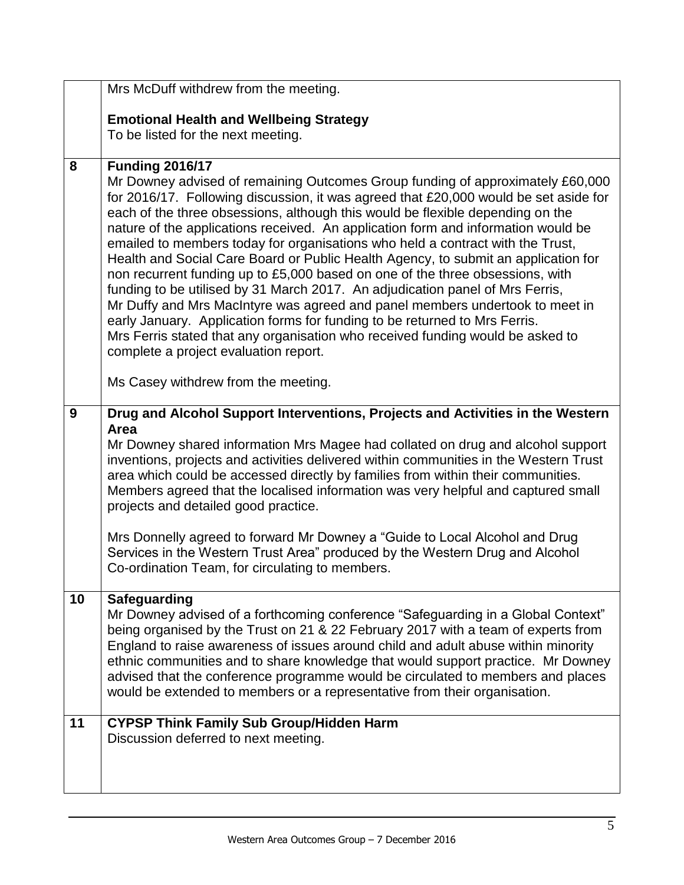|    | Mrs McDuff withdrew from the meeting.                                                                                                                                                                                                                                                                                                                                                                                                                                                                                                                                                                                                                                                                                                                                                                                                                                                                                                                                            |
|----|----------------------------------------------------------------------------------------------------------------------------------------------------------------------------------------------------------------------------------------------------------------------------------------------------------------------------------------------------------------------------------------------------------------------------------------------------------------------------------------------------------------------------------------------------------------------------------------------------------------------------------------------------------------------------------------------------------------------------------------------------------------------------------------------------------------------------------------------------------------------------------------------------------------------------------------------------------------------------------|
|    | <b>Emotional Health and Wellbeing Strategy</b>                                                                                                                                                                                                                                                                                                                                                                                                                                                                                                                                                                                                                                                                                                                                                                                                                                                                                                                                   |
|    | To be listed for the next meeting.                                                                                                                                                                                                                                                                                                                                                                                                                                                                                                                                                                                                                                                                                                                                                                                                                                                                                                                                               |
|    |                                                                                                                                                                                                                                                                                                                                                                                                                                                                                                                                                                                                                                                                                                                                                                                                                                                                                                                                                                                  |
| 8  | <b>Funding 2016/17</b>                                                                                                                                                                                                                                                                                                                                                                                                                                                                                                                                                                                                                                                                                                                                                                                                                                                                                                                                                           |
|    | Mr Downey advised of remaining Outcomes Group funding of approximately £60,000<br>for 2016/17. Following discussion, it was agreed that £20,000 would be set aside for<br>each of the three obsessions, although this would be flexible depending on the<br>nature of the applications received. An application form and information would be<br>emailed to members today for organisations who held a contract with the Trust,<br>Health and Social Care Board or Public Health Agency, to submit an application for<br>non recurrent funding up to £5,000 based on one of the three obsessions, with<br>funding to be utilised by 31 March 2017. An adjudication panel of Mrs Ferris,<br>Mr Duffy and Mrs MacIntyre was agreed and panel members undertook to meet in<br>early January. Application forms for funding to be returned to Mrs Ferris.<br>Mrs Ferris stated that any organisation who received funding would be asked to<br>complete a project evaluation report. |
|    | Ms Casey withdrew from the meeting.                                                                                                                                                                                                                                                                                                                                                                                                                                                                                                                                                                                                                                                                                                                                                                                                                                                                                                                                              |
| 9  | Drug and Alcohol Support Interventions, Projects and Activities in the Western<br>Area<br>Mr Downey shared information Mrs Magee had collated on drug and alcohol support<br>inventions, projects and activities delivered within communities in the Western Trust<br>area which could be accessed directly by families from within their communities.<br>Members agreed that the localised information was very helpful and captured small<br>projects and detailed good practice.<br>Mrs Donnelly agreed to forward Mr Downey a "Guide to Local Alcohol and Drug<br>Services in the Western Trust Area" produced by the Western Drug and Alcohol<br>Co-ordination Team, for circulating to members.                                                                                                                                                                                                                                                                            |
| 10 | <b>Safeguarding</b><br>Mr Downey advised of a forthcoming conference "Safeguarding in a Global Context"<br>being organised by the Trust on 21 & 22 February 2017 with a team of experts from<br>England to raise awareness of issues around child and adult abuse within minority<br>ethnic communities and to share knowledge that would support practice. Mr Downey<br>advised that the conference programme would be circulated to members and places<br>would be extended to members or a representative from their organisation.                                                                                                                                                                                                                                                                                                                                                                                                                                            |
| 11 | <b>CYPSP Think Family Sub Group/Hidden Harm</b><br>Discussion deferred to next meeting.                                                                                                                                                                                                                                                                                                                                                                                                                                                                                                                                                                                                                                                                                                                                                                                                                                                                                          |